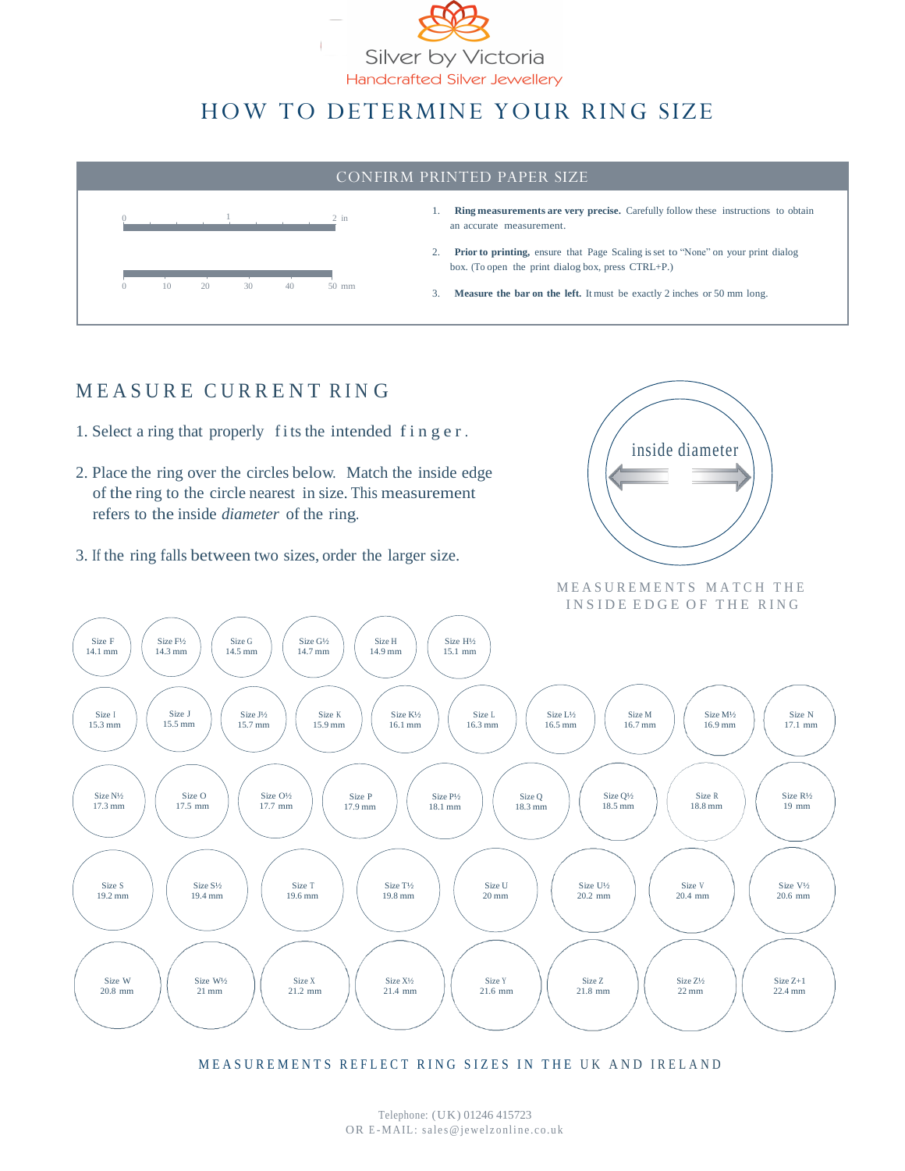

# HOW TO DETERMINE YOUR RING SIZE



### MEASURE CURRENT RING

- 1. Select a ring that properly f its the intended f i n g e r.
- 2. Place the ring over the circles below. Match the inside edge of the ring to the circle nearest in size. This measurement refers to the inside *diameter* of the ring.
- 3. If the ring falls between two sizes, order the larger size.



MEASUREMENTS MATCH THE INSIDE EDGE OF THE RING



MEASUREMENTS REFLECT RING SIZES IN THE UK AND IRELAND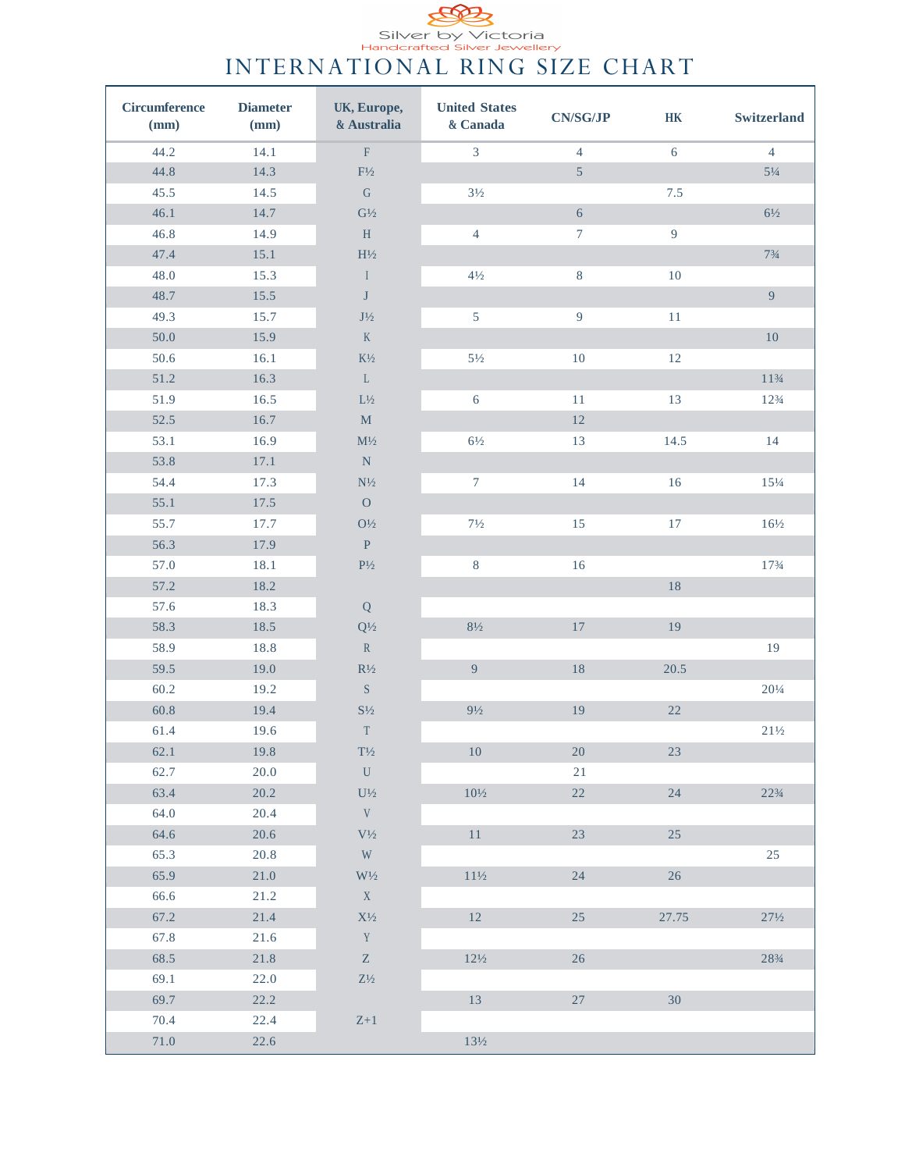Silver by Victoria<br>
Handcrafted Silver Jewellery<br>
INTERNATIONAL RING SIZE CHART

| Circumference<br>(mm) | <b>Diameter</b><br>(mm) | UK, Europe,<br>& Australia                     | <b>United States</b><br>& Canada | <b>CN/SG/JP</b>  | $\rm{HK}$      | Switzerland     |
|-----------------------|-------------------------|------------------------------------------------|----------------------------------|------------------|----------------|-----------------|
| 44.2                  | 14.1                    | $\rm F$                                        | $\overline{3}$                   | $\overline{4}$   | 6              | $\overline{4}$  |
| 44.8                  | 14.3                    | $\mathrm{F}\!/_{\!2}$                          |                                  | $\overline{5}$   |                | $5\frac{1}{4}$  |
| 45.5                  | 14.5                    | ${\bf G}$                                      | $3\frac{1}{2}$                   |                  | $7.5\,$        |                 |
| 46.1                  | 14.7                    | $\mathrm{G}\!/_{\!2}$                          |                                  | 6                |                | $6\frac{1}{2}$  |
| 46.8                  | 14.9                    | $\, {\rm H}$                                   | $\overline{4}$                   | $\boldsymbol{7}$ | $\overline{9}$ |                 |
| 47.4                  | 15.1                    | $\rm{H}\textsc{!}\gamma\textsc{!}$             |                                  |                  |                | $7\frac{3}{4}$  |
| 48.0                  | 15.3                    | $\mathbf{I}$                                   | $4\frac{1}{2}$                   | $8\,$            | 10             |                 |
| 48.7                  | 15.5                    | $\bf J$                                        |                                  |                  |                | $\overline{9}$  |
| 49.3                  | 15.7                    | $\mathrm{J}\frac{1}{2}$                        | 5                                | $\overline{9}$   | $11\,$         |                 |
| $50.0\,$              | 15.9                    | $\rm K$                                        |                                  |                  |                | $10\,$          |
| $50.6\,$              | 16.1                    | $\mathrm{K}\mathrm{^{1}\!}/_{\mathrm{2}}$      | $5\frac{1}{2}$                   | $10\,$           | $12\,$         |                 |
| $51.2\,$              | 16.3                    | $\mathbf L$                                    |                                  |                  |                | $1\,1\,\%/4$    |
| 51.9                  | 16.5                    | $\mathrm{L}\frac{1}{2}$                        | 6                                | 11               | 13             | $12\frac{3}{4}$ |
| 52.5                  | 16.7                    | $\mathbf M$                                    |                                  | $12\,$           |                |                 |
| 53.1                  | 16.9                    | $\mathrm{M}\!/_{\!2}$                          | $6\frac{1}{2}$                   | 13               | 14.5           | 14              |
| 53.8                  | 17.1                    | ${\bf N}$                                      |                                  |                  |                |                 |
| 54.4                  | 17.3                    | $\mathrm{N}\!/_{\!2}$                          | $\tau$                           | 14               | 16             | $15\frac{1}{4}$ |
| 55.1                  | 17.5                    | ${\cal O}$                                     |                                  |                  |                |                 |
| 55.7                  | 17.7                    | $\mathrm{O}\!/_{\!2}$                          | $7\frac{1}{2}$                   | 15               | $17\,$         | $16\frac{1}{2}$ |
| 56.3                  | 17.9                    | $\, {\bf P}$                                   |                                  |                  |                |                 |
| 57.0                  | 18.1                    | $\rm P\!/_{\rm 2}$                             | $8\,$                            | $16$             |                | $17\frac{3}{4}$ |
| 57.2                  | 18.2                    |                                                |                                  |                  | $18\,$         |                 |
| 57.6                  | 18.3                    | Q                                              |                                  |                  |                |                 |
| 58.3                  | $18.5\,$                | $\mathbf{Q}^{1\!\!}/_{\!2}$                    | $8\frac{1}{2}$                   | $17\,$           | 19             |                 |
| 58.9                  | 18.8                    | $\mathbb R$                                    |                                  |                  |                | 19              |
| 59.5                  | 19.0                    | $\mathbb{R}^{1}\!/_{\scriptscriptstyle 2}$     | $\overline{9}$                   | $18\,$           | 20.5           |                 |
| 60.2                  | 19.2                    | $\mathbf S$                                    |                                  |                  |                | $20\frac{1}{4}$ |
| 60.8                  | 19.4                    | $\mathrm{S}\frac{1}{2}$                        | $9\frac{1}{2}$                   | 19               | $22\,$         |                 |
| $61.4\,$              | 19.6                    | $\mathcal T$                                   |                                  |                  |                | $21\%$          |
| 62.1                  | 19.8                    | $\mathrm{T}\!/_{\!2}$                          | 10                               | 20               | 23             |                 |
| 62.7                  | 20.0                    | ${\bf U}$                                      |                                  | 21               |                |                 |
| 63.4                  | 20.2                    | $\mathrm{U}\frac{1}{2}$                        | $10\frac{1}{2}$                  | 22               | 24             | $22\frac{3}{4}$ |
| 64.0                  | 20.4                    | $\mathbf V$                                    |                                  |                  |                |                 |
| 64.6                  | 20.6                    | $\rm V\frac{1}{2}$                             | 11                               | 23               | 25             |                 |
| 65.3                  | 20.8                    | $\ensuremath{\text{W}}$                        |                                  |                  |                | $25\,$          |
| 65.9                  | 21.0                    | $\mathrm{W}\mathrm{^{1\!}/_{\!2}}$             | $11\frac{1}{2}$                  | 24               | 26             |                 |
| 66.6                  | 21.2                    | $\mathbf X$                                    |                                  |                  |                |                 |
| 67.2                  | 21.4                    | $\mathrm{X}^{1\!\!}/_2$                        | 12                               | 25               | 27.75          | $27\frac{1}{2}$ |
| 67.8                  | 21.6                    | $\mathbf Y$                                    |                                  |                  |                |                 |
| 68.5                  | 21.8                    | $\mathbf{Z}% ^{t}\left( \mathbf{Z}_{t}\right)$ | $12\frac{1}{2}$                  | 26               |                | 283/4           |
| 69.1                  | 22.0                    | $\mathrm{Z}\mathrm{^{1\!}/_{\!2}}$             |                                  |                  |                |                 |
| 69.7                  | 22.2                    |                                                | 13                               | $27\,$           | 30             |                 |
| 70.4                  | 22.4                    | $\mathsf{Z}{+}\mathsf{1}$                      |                                  |                  |                |                 |
| $71.0\,$              | 22.6                    |                                                | $13\frac{1}{2}$                  |                  |                |                 |